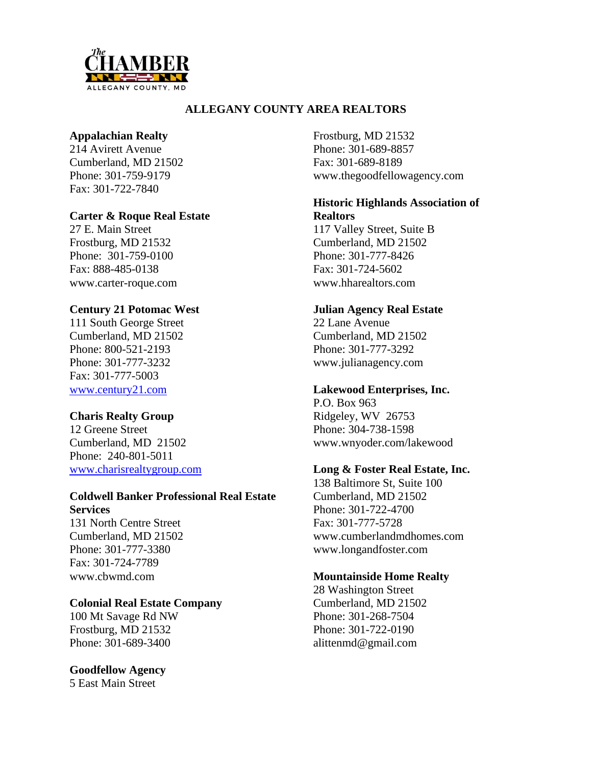

# **ALLEGANY COUNTY AREA REALTORS**

# **Appalachian Realty**

214 Avirett Avenue Cumberland, MD 21502 Phone: 301-759-9179 Fax: 301-722-7840

### **Carter & Roque Real Estate**

27 E. Main Street Frostburg, MD 21532 Phone: 301-759-0100 Fax: 888-485-0138 www.carter-roque.com

### **Century 21 Potomac West**

111 South George Street Cumberland, MD 21502 Phone: 800-521-2193 Phone: 301-777-3232 Fax: 301-777-5003 [www.century21.com](http://www.century21.com/)

### **Charis Realty Group**

12 Greene Street Cumberland, MD 21502 Phone: 240-801-5011 [www.charisrealtygroup.com](http://www.charisrealtygroup.com/)

#### **Coldwell Banker Professional Real Estate Services**

131 North Centre Street Cumberland, MD 21502 Phone: 301-777-3380 Fax: 301-724-7789 www.cbwmd.com

### **Colonial Real Estate Company**

100 Mt Savage Rd NW Frostburg, MD 21532 Phone: 301-689-3400

**Goodfellow Agency** 5 East Main Street

Frostburg, MD 21532 Phone: 301-689-8857 Fax: 301-689-8189 www.thegoodfellowagency.com

# **Historic Highlands Association of Realtors**

117 Valley Street, Suite B Cumberland, MD 21502 Phone: 301-777-8426 Fax: 301-724-5602 www.hharealtors.com

## **Julian Agency Real Estate**

22 Lane Avenue Cumberland, MD 21502 Phone: 301-777-3292 www.julianagency.com

### **Lakewood Enterprises, Inc.**

P.O. Box 963 Ridgeley, WV 26753 Phone: 304-738-1598 www.wnyoder.com/lakewood

### **Long & Foster Real Estate, Inc.**

138 Baltimore St, Suite 100 Cumberland, MD 21502 Phone: 301-722-4700 Fax: 301-777-5728 www.cumberlandmdhomes.com www.longandfoster.com

### **Mountainside Home Realty**

28 Washington Street Cumberland, MD 21502 Phone: 301-268-7504 Phone: 301-722-0190 alittenmd@gmail.com